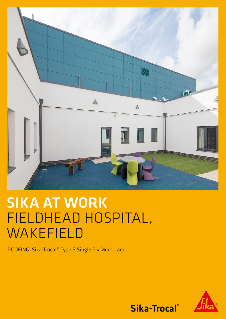

## SIKA AT WORK FIELDHEAD HOSPITAL, WAKEFIELD

ROOFING: Sika-Trocal® Type S Single Ply Membrane



Sika-Trocal®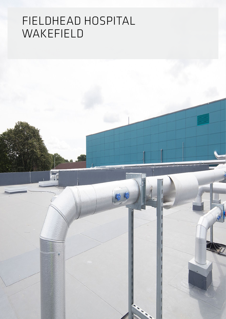## FIELDHEAD HOSPITAL WAKEFIELD

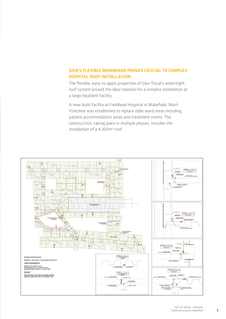## SIKA'S FLEXIBLE MEMBRANE PROVES CRUCIAL TO COMPLEX HOSPITAL ROOF INSTALLATION.

The flexible, easy-to-apply properties of Sika-Trocal's watertight roof system proved the ideal solution for a complex installation at a large inpatient facility.

A new-build facility at Fieldhead Hospital in Wakefield, West Yorkshire was established to replace older ward areas including patient accommodation areas and treatment rooms. The construction, taking place in multiple phases, includes the installation of a 4,300m<sup>2</sup> roof.



3